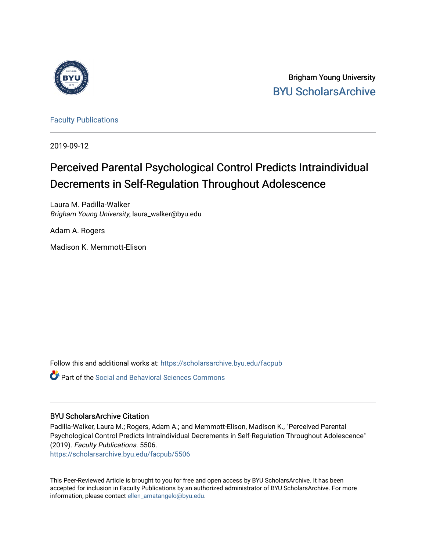

Brigham Young University [BYU ScholarsArchive](https://scholarsarchive.byu.edu/) 

[Faculty Publications](https://scholarsarchive.byu.edu/facpub)

2019-09-12

# Perceived Parental Psychological Control Predicts Intraindividual Decrements in Self-Regulation Throughout Adolescence

Laura M. Padilla-Walker Brigham Young University, laura\_walker@byu.edu

Adam A. Rogers

Madison K. Memmott-Elison

Follow this and additional works at: [https://scholarsarchive.byu.edu/facpub](https://scholarsarchive.byu.edu/facpub?utm_source=scholarsarchive.byu.edu%2Ffacpub%2F5506&utm_medium=PDF&utm_campaign=PDFCoverPages) 

Part of the [Social and Behavioral Sciences Commons](http://network.bepress.com/hgg/discipline/316?utm_source=scholarsarchive.byu.edu%2Ffacpub%2F5506&utm_medium=PDF&utm_campaign=PDFCoverPages) 

### BYU ScholarsArchive Citation

Padilla-Walker, Laura M.; Rogers, Adam A.; and Memmott-Elison, Madison K., "Perceived Parental Psychological Control Predicts Intraindividual Decrements in Self-Regulation Throughout Adolescence" (2019). Faculty Publications. 5506.

[https://scholarsarchive.byu.edu/facpub/5506](https://scholarsarchive.byu.edu/facpub/5506?utm_source=scholarsarchive.byu.edu%2Ffacpub%2F5506&utm_medium=PDF&utm_campaign=PDFCoverPages)

This Peer-Reviewed Article is brought to you for free and open access by BYU ScholarsArchive. It has been accepted for inclusion in Faculty Publications by an authorized administrator of BYU ScholarsArchive. For more information, please contact [ellen\\_amatangelo@byu.edu.](mailto:ellen_amatangelo@byu.edu)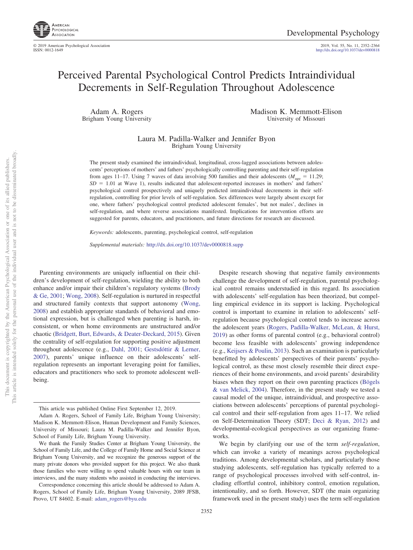

2019, Vol. 55, No. 11, 2352-2364<br>http://dx.doi.org[/10.1037/dev0000818](http://dx.doi.org/10.1037/dev0000818)

## Perceived Parental Psychological Control Predicts Intraindividual Decrements in Self-Regulation Throughout Adolescence

Adam A. Rogers Brigham Young University Madison K. Memmott-Elison University of Missouri

Laura M. Padilla-Walker and Jennifer Byon Brigham Young University

The present study examined the intraindividual, longitudinal, cross-lagged associations between adolescents' perceptions of mothers' and fathers' psychologically controlling parenting and their self-regulation from ages 11–17. Using 7 waves of data involving 500 families and their adolescents ( $M_{\text{age}} = 11.29$ ;  $SD = 1.01$  at Wave 1), results indicated that adolescent-reported increases in mothers' and fathers' psychological control prospectively and uniquely predicted intraindividual decrements in their selfregulation, controlling for prior levels of self-regulation. Sex differences were largely absent except for one, where fathers' psychological control predicted adolescent females', but not males', declines in self-regulation, and where reverse associations manifested. Implications for intervention efforts are suggested for parents, educators, and practitioners, and future directions for research are discussed.

*Keywords:* adolescents, parenting, psychological control, self-regulation

*Supplemental materials:* http://dx.doi.org/10.1037/dev0000818.supp

Parenting environments are uniquely influential on their children's development of self-regulation, wielding the ability to both enhance and/or impair their children's regulatory systems [\(Brody](#page-12-0) [& Ge, 2001;](#page-12-0) [Wong, 2008\)](#page-13-0). Self-regulation is nurtured in respectful and structured family contexts that support autonomy [\(Wong,](#page-13-0) [2008\)](#page-13-0) and establish appropriate standards of behavioral and emotional expression, but is challenged when parenting is harsh, inconsistent, or when home environments are unstructured and/or chaotic [\(Bridgett, Burt, Edwards, & Deater-Deckard, 2015\)](#page-12-1). Given the centrality of self-regulation for supporting positive adjustment throughout adolescence (e.g., [Dahl, 2001;](#page-12-2) [Gestsdóttir & Lerner,](#page-12-3) [2007\)](#page-12-3), parents' unique influence on their adolescents' selfregulation represents an important leveraging point for families, educators and practitioners who seek to promote adolescent wellbeing.

This article is intended solely for the personal use of the individual user and is not to be disseminated broadly. not to be disseminated broadly one of its allied publishers. This document is copyrighted by the American Psychological Association or one of its allied publishers.  $\overleftarrow{\mathrm{O}}$  $\widetilde{\Xi}$ This document is copyrighted by the American Psychological Association This article is intended solely for the personal use of the individual user and

2352

Despite research showing that negative family environments challenge the development of self-regulation, parental psychological control remains understudied in this regard. Its association with adolescents' self-regulation has been theorized, but compelling empirical evidence in its support is lacking. Psychological control is important to examine in relation to adolescents' selfregulation because psychological control tends to increase across the adolescent years [\(Rogers, Padilla-Walker, McLean, & Hurst,](#page-13-1) [2019\)](#page-13-1) as other forms of parental control (e.g., behavioral control) become less feasible with adolescents' growing independence (e.g., [Keijsers & Poulin, 2013\)](#page-12-4). Such an examination is particularly benefitted by adolescents' perspectives of their parents' psychological control, as these most closely resemble their direct experiences of their home environments, and avoid parents' desirability biases when they report on their own parenting practices [\(Bögels](#page-12-5) [& van Melick, 2004\)](#page-12-5). Therefore, in the present study we tested a causal model of the unique, intraindividual, and prospective associations between adolescents' perceptions of parental psychological control and their self-regulation from ages 11–17. We relied on Self-Determination Theory (SDT; [Deci & Ryan, 2012\)](#page-12-6) and developmental-ecological perspectives as our organizing frameworks.

We begin by clarifying our use of the term *self-regulation*, which can invoke a variety of meanings across psychological traditions. Among developmental scholars, and particularly those studying adolescents, self-regulation has typically referred to a range of psychological processes involved with self-control, including effortful control, inhibitory control, emotion regulation, intentionality, and so forth. However, SDT (the main organizing framework used in the present study) uses the term self-regulation

This article was published Online First September 12, 2019.

Adam A. Rogers, School of Family Life, Brigham Young University; Madison K. Memmott-Elison, Human Development and Family Sciences, University of Missouri; Laura M. Padilla-Walker and Jennifer Byon, School of Family Life, Brigham Young University.

We thank the Family Studies Center at Brigham Young University, the School of Family Life, and the College of Family Home and Social Science at Brigham Young University, and we recognize the generous support of the many private donors who provided support for this project. We also thank those families who were willing to spend valuable hours with our team in interviews, and the many students who assisted in conducting the interviews.

Correspondence concerning this article should be addressed to Adam A. Rogers, School of Family Life, Brigham Young University, 2089 JFSB, Provo, UT 84602. E-mail: [adam\\_rogers@byu.edu](mailto:adam_rogers@byu.edu)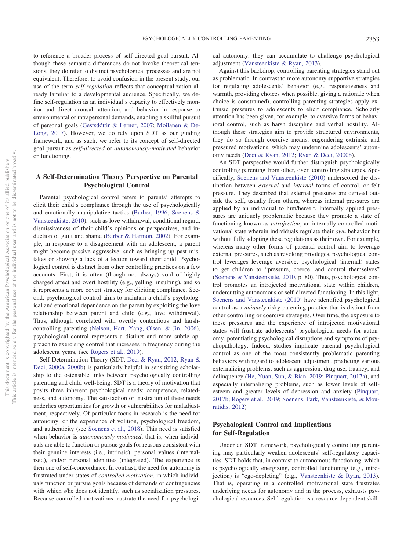to reference a broader process of self-directed goal-pursuit. Although these semantic differences do not invoke theoretical tensions, they do refer to distinct psychological processes and are not equivalent. Therefore, to avoid confusion in the present study, our use of the term *self-regulation* reflects that conceptualization already familiar to a developmental audience. Specifically, we define self-regulation as an individual's capacity to effectively monitor and direct arousal, attention, and behavior in response to environmental or intrapersonal demands, enabling a skillful pursuit of personal goals [\(Gestsdóttir & Lerner, 2007;](#page-12-3) [Moilanen & De-](#page-13-2)[Long, 2017\)](#page-13-2). However, we do rely upon SDT as our guiding framework, and as such, we refer to its concept of self-directed goal pursuit as *self-directed* or *autonomously-motivated* behavior or functioning.

#### **A Self-Determination Theory Perspective on Parental Psychological Control**

Parental psychological control refers to parents' attempts to elicit their child's compliance through the use of psychologically and emotionally manipulative tactics [\(Barber, 1996;](#page-12-7) [Soenens &](#page-13-3) [Vansteenkiste, 2010\)](#page-13-3), such as love withdrawal, conditional regard, dismissiveness of their child's opinions or perspectives, and induction of guilt and shame [\(Barber & Harmon, 2002\)](#page-12-8). For example, in response to a disagreement with an adolescent, a parent might become passive aggressive, such as bringing up past mistakes or showing a lack of affection toward their child. Psychological control is distinct from other controlling practices on a few accounts. First, it is often (though not always) void of highly charged affect and overt hostility (e.g., yelling, insulting), and so it represents a more covert strategy for eliciting compliance. Second, psychological control aims to maintain a child's psychological and emotional dependence on the parent by exploiting the love relationship between parent and child (e.g., love withdrawal). Thus, although correlated with overtly contentious and harshcontrolling parenting [\(Nelson, Hart, Yang, Olsen, & Jin, 2006\)](#page-13-4), psychological control represents a distinct and more subtle approach to exercising control that increases in frequency during the adolescent years, (see [Rogers et al., 2019\)](#page-13-1).

Self-Determination Theory (SDT; [Deci & Ryan, 2012;](#page-12-6) [Ryan &](#page-13-5) [Deci, 2000a,](#page-13-5) [2000b\)](#page-13-6) is particularly helpful in sensitizing scholarship to the ostensible links between psychologically controlling parenting and child well-being. SDT is a theory of motivation that posits three inherent psychological needs: competence, relatedness, and autonomy. The satisfaction or frustration of these needs underlies opportunities for growth or vulnerabilities for maladjustment, respectively. Of particular focus in research is the need for autonomy, or the experience of volition, psychological freedom, and authenticity (see [Soenens et al., 2018\)](#page-13-7). This need is satisfied when behavior is *autonomously motivated*, that is, when individuals are able to function or pursue goals for reasons consistent with their genuine interests (i.e., intrinsic), personal values (internalized), and/or personal identities (integrated). The experience is then one of self-concordance. In contrast, the need for autonomy is frustrated under states of *controlled motivation*, in which individuals function or pursue goals because of demands or contingencies with which s/he does not identify, such as socialization pressures. Because controlled motivations frustrate the need for psychological autonomy, they can accumulate to challenge psychological adjustment [\(Vansteenkiste & Ryan, 2013\)](#page-13-8).

Against this backdrop, controlling parenting strategies stand out as problematic. In contrast to more autonomy supportive strategies for regulating adolescents' behavior (e.g., responsiveness and warmth, providing choices when possible, giving a rationale when choice is constrained), controlling parenting strategies apply extrinsic pressures to adolescents to elicit compliance. Scholarly attention has been given, for example, to aversive forms of behavioral control, such as harsh discipline and verbal hostility. Although these strategies aim to provide structured environments, they do so through coercive means, engendering extrinsic and pressured motivations, which may undermine adolescents' autonomy needs [\(Deci & Ryan, 2012;](#page-12-6) [Ryan & Deci, 2000b\)](#page-13-6).

An SDT perspective would further distinguish psychologically controlling parenting from other, overt controlling strategies. Specifically, [Soenens and Vansteenkiste \(2010\)](#page-13-3) underscored the distinction between *external* and *internal* forms of control, or felt pressure. They described that external pressures are derived outside the self, usually from others, whereas internal pressures are applied by an individual to him/herself. Internally applied pressures are uniquely problematic because they promote a state of functioning known as *introjection*, an internally controlled motivational state wherein individuals regulate their *own* behavior but without fully adopting these regulations as their own. For example, whereas many other forms of parental control aim to leverage external pressures, such as revoking privileges, psychological control leverages leverage aversive, psychological (internal) states to get children to "pressure, coerce, and control themselves" [\(Soenens & Vansteenkiste, 2010,](#page-13-3) p. 80). Thus, psychological control promotes an introjected motivational state within children, undercutting autonomous or self-directed functioning. In this light, [Soenens and Vansteenkiste \(2010\)](#page-13-3) have identified psychological control as a *uniquely* risky parenting practice that is distinct from other controlling or coercive strategies. Over time, the exposure to these pressures and the experience of introjected motivational states will frustrate adolescents' psychological needs for autonomy, potentiating psychological disruptions and symptoms of psychopathology. Indeed, studies implicate parental psychological control as one of the most consistently problematic parenting behaviors with regard to adolescent adjustment, predicting various externalizing problems, such as aggression, drug use, truancy, and delinquency [\(He, Yuan, Sun, & Bian, 2019;](#page-12-9) [Pinquart, 2017a\)](#page-13-9), and especially internalizing problems, such as lower levels of selfesteem and greater levels of depression and anxiety [\(Pinquart,](#page-13-10) [2017b;](#page-13-10) [Rogers et al., 2019;](#page-13-1) [Soenens, Park, Vansteenkiste, & Mou](#page-13-11)[ratidis, 2012\)](#page-13-11)

#### **Psychological Control and Implications for Self-Regulation**

Under an SDT framework, psychologically controlling parenting may particularly weaken adolescents' self-regulatory capacities. SDT holds that, in contrast to autonomous functioning, which is psychologically energizing, controlled functioning (e.g., introjection) is "ego-depleting" (e.g., [Vansteenkiste & Ryan, 2013\)](#page-13-8). That is, operating in a controlled motivational state frustrates underlying needs for autonomy and in the process, exhausts psychological resources. Self-regulation is a resource-dependent skill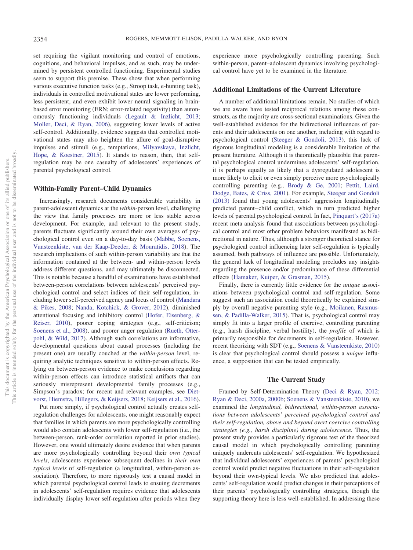set requiring the vigilant monitoring and control of emotions, cognitions, and behavioral impulses, and as such, may be undermined by persistent controlled functioning. Experimental studies seem to support this premise. These show that when performing various executive function tasks (e.g., Stroop task, e-hunting task), individuals in controlled motivational states are lower performing, less persistent, and even exhibit lower neural signaling in brainbased error monitoring (ERN; error-related negativity) than autonomously functioning individuals [\(Legault & Inzlicht, 2013;](#page-12-10) [Moller, Deci, & Ryan, 2006\)](#page-13-12), suggesting lower levels of active self-control. Additionally, evidence suggests that controlled motivational states may also heighten the allure of goal-disruptive impulses and stimuli (e.g., temptations, [Milyavskaya, Inzlicht,](#page-13-13) [Hope, & Koestner, 2015\)](#page-13-13). It stands to reason, then, that selfregulation may be one casualty of adolescents' experiences of parental psychological control.

#### **Within-Family Parent–Child Dynamics**

Increasingly, research documents considerable variability in parent-adolescent dynamics at the *within*-person level, challenging the view that family processes are more or less stable across development. For example, and relevant to the present study, parents fluctuate significantly around their own averages of psychological control even on a day-to-day basis [\(Mabbe, Soenens,](#page-12-11) [Vansteenkiste, van der Kaap-Deeder, & Mouratidis, 2018\)](#page-12-11). The research implications of such within-person variability are that the information contained at the between- and within-person levels address different questions, and may ultimately be disconnected. This is notable because a handful of examinations have established between-person correlations between adolescents' perceived psychological control and select indices of their self-regulation, including lower self-perceived agency and locus of control [\(Mandara](#page-12-12) [& Pikes, 2008;](#page-12-12) [Nanda, Kotchick, & Grover, 2012\)](#page-13-14), diminished attentional focusing and inhibitory control [\(Hofer, Eisenberg, &](#page-12-13) [Reiser, 2010\)](#page-12-13), poorer coping strategies (e.g., self-criticism; [Soenens et al., 2008\)](#page-13-15), and poorer anger regulation [\(Rueth, Otter](#page-13-16)[pohl, & Wild, 2017\)](#page-13-16). Although such correlations are informative, developmental questions about causal processes (including the present one) are usually couched at the *within-person* level, requiring analytic techniques sensitive to within-person effects. Relying on between-person evidence to make conclusions regarding within-person effects can introduce statistical artifacts that can seriously misrepresent developmental family processes (e.g., Simpson's paradox; for recent and relevant examples, see [Diet](#page-12-14)[vorst, Hiemstra, Hillegers, & Keijsers, 2018;](#page-12-14) [Keijsers et al., 2016\)](#page-12-15).

Put more simply, if psychological control actually creates selfregulation challenges for adolescents, one might reasonably expect that families in which parents are more psychologically controlling would also contain adolescents with lower self-regulation (i.e., the between-person, rank-order correlation reported in prior studies). However, one would ultimately desire evidence that when parents are more psychologically controlling beyond their *own typical levels*, adolescents experience subsequent declines in *their own typical levels* of self-regulation (a longitudinal, within-person association). Therefore, to more rigorously test a causal model in which parental psychological control leads to ensuing decrements in adolescents' self-regulation requires evidence that adolescents individually display lower self-regulation after periods when they

experience more psychologically controlling parenting. Such within-person, parent–adolescent dynamics involving psychological control have yet to be examined in the literature.

#### **Additional Limitations of the Current Literature**

A number of additional limitations remain. No studies of which we are aware have tested reciprocal relations among these constructs, as the majority are cross-sectional examinations. Given the well-established evidence for the bidirectional influences of parents and their adolescents on one another, including with regard to psychological control [\(Steeger & Gondoli, 2013\)](#page-13-17), this lack of rigorous longitudinal modeling is a considerable limitation of the present literature. Although it is theoretically plausible that parental psychological control undermines adolescents' self-regulation, it is perhaps equally as likely that a dysregulated adolescent is more likely to elicit or even simply perceive more psychologically controlling parenting (e.g., [Brody & Ge, 2001;](#page-12-0) [Pettit, Laird,](#page-13-18) [Dodge, Bates, & Criss, 2001\)](#page-13-18). For example, [Steeger and Gondoli](#page-13-17) [\(2013\)](#page-13-17) found that young adolescents' aggression longitudinally predicted parent– child conflict, which in turn predicted higher levels of parental psychological control. In fact, [Pinquart's \(2017a\)](#page-13-9) recent meta analysis found that associations between psychological control and most other problem behaviors manifested as bidirectional in nature. Thus, although a stronger theoretical stance for psychological control influencing later self-regulation is typically assumed, both pathways of influence are possible. Unfortunately, the general lack of longitudinal modeling precludes any insights regarding the presence and/or predominance of these differential effects [\(Hamaker, Kuiper, & Grasman, 2015\)](#page-12-16).

Finally, there is currently little evidence for the *unique* associations between psychological control and self-regulation. Some suggest such an association could theoretically be explained simply by overall negative parenting style (e.g., [Moilanen, Rasmus](#page-13-19)[sen, & Padilla-Walker, 2015\)](#page-13-19). That is, psychological control may simply fit into a larger profile of coercive, controlling parenting (e.g., harsh discipline, verbal hostility), the *profile* of which is primarily responsible for decrements in self-regulation. However, recent theorizing with SDT (e.g., [Soenens & Vansteenkiste, 2010\)](#page-13-3) is clear that psychological control should possess a *unique* influence, a supposition that can be tested empirically.

#### **The Current Study**

Framed by Self-Determination Theory [\(Deci & Ryan, 2012;](#page-12-6) [Ryan & Deci, 2000a,](#page-13-5) [2000b;](#page-13-6) [Soenens & Vansteenkiste, 2010\)](#page-13-3), we examined the *longitudinal, bidirectional, within-person associations between adolescents' perceived psychological control and their self-regulation, above and beyond overt coercive controlling strategies (e.g., harsh discipline) during adolescence.* Thus, the present study provides a particularly rigorous test of the theorized causal model in which psychologically controlling parenting uniquely undercuts adolescents' self-regulation. We hypothesized that individual adolescents' experiences of parents' psychological control would predict negative fluctuations in their self-regulation beyond their own-typical levels. We also predicted that adolescents' self-regulation would predict changes in their perceptions of their parents' psychologically controlling strategies, though the supporting theory here is less well-established. In addressing these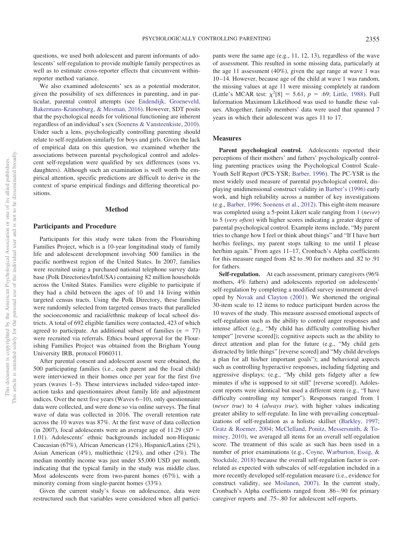questions, we used both adolescent and parent informants of adolescents' self-regulation to provide multiple family perspectives as well as to estimate cross-reporter effects that circumvent withinreporter method variance.

We also examined adolescents' sex as a potential moderator, given the possibility of sex differences in parenting, and in particular, parental control attempts (see [Endendijk, Groeneveld,](#page-12-17) [Bakermans-Kranenburg, & Mesman, 2016\)](#page-12-17). However, SDT posits that the psychological needs for volitional functioning are inherent regardless of an individual's sex [\(Soenens & Vansteenkiste, 2010\)](#page-13-3). Under such a lens, psychologically controlling parenting should relate to self-regulation similarly for boys and girls. Given the lack of empirical data on this question, we examined whether the associations between parental psychological control and adolescent self-regulation were qualified by sex differences (sons vs. daughters). Although such an examination is well worth the empirical attention, specific predictions are difficult to derive in the context of sparse empirical findings and differing theoretical positions.

#### **Method**

#### **Participants and Procedure**

Participants for this study were taken from the Flourishing Families Project, which is a 10-year longitudinal study of family life and adolescent development involving 500 families in the pacific northwest region of the United States. In 2007, families were recruited using a purchased national telephone survey database (Polk Directories/InfoUSA) containing 82 million households across the United States. Families were eligible to participate if they had a child between the ages of 10 and 14 living within targeted census tracts. Using the Polk Directory, these families were randomly selected from targeted census tracts that paralleled the socioeconomic and racial/ethnic makeup of local school districts. A total of 692 eligible families were contacted, 423 of which agreed to participate. An additional subset of families  $(n = 77)$ were recruited via referrals. Ethics board approval for the Flourishing Families Project was obtained from the Brigham Young University IRB, protocol F060311.

After parental consent and adolescent assent were obtained, the 500 participating families (i.e., each parent and the focal child) were interviewed in their homes once per year for the first five years (waves 1–5). These interviews included video-taped interaction tasks and questionnaires about family life and adjustment indices. Over the next five years (Waves  $6-10$ ), only questionnaire data were collected, and were done so via online surveys. The final wave of data was collected in 2016. The overall retention rate across the 10 waves was 87%. At the first wave of data collection  $(in 2007)$ , focal adolescents were an average age of 11.29 ( $SD =$ 1.01). Adolescents' ethnic backgrounds included non-Hispanic Caucasian (67%), African American (12%), Hispanic/Latinx (2%), Asian American (4%), multiethnic (12%), and other (2%). The median monthly income was just under \$5,000 USD per month, indicating that the typical family in the study was middle class. Most adolescents were from two-parent homes (67%), with a minority coming from single-parent homes (33%).

Given the current study's focus on adolescence, data were restructured such that variables were considered when all partici-

pants were the same age (e.g., 11, 12, 13), regardless of the wave of assessment. This resulted in some missing data, particularly at the age 11 assessment (40%), given the age range at wave 1 was 10 –14. However, because age of the child at wave 1 was random, the missing values at age 11 were missing completely at random (Little's MCAR test:  $\chi^2[8] = 5.61$ ,  $p = .69$ ; [Little, 1988\)](#page-12-18). Full Information Maximum Likelihood was used to handle these values. Altogether, family members' data were used that spanned 7 years in which their adolescent was ages 11 to 17.

#### **Measures**

Parent psychological control. Adolescents reported their perceptions of their mothers' and fathers' psychologically controlling parenting practices using the Psychological Control Scale-Youth Self Report (PCS-YSR; [Barber, 1996\)](#page-12-7). The PC-YSR is the most widely used measure of parental psychological control, displaying unidimensional construct validity in [Barber's \(1996\)](#page-12-7) early work, and high reliability across a number of key investigations (e.g., [Barber, 1996;](#page-12-7) [Soenens et al., 2012\)](#page-13-11). This eight-item measure was completed using a 5-point Likert scale ranging from 1 (*never*) to 5 (*very often*) with higher scores indicating a greater degree of parental psychological control. Example items include, "My parent tries to change how I feel or think about things" and "If I have hurt her/his feelings, my parent stops talking to me until I please her/him again." From ages 11–17, Cronbach's Alpha coefficients for this measure ranged from .82 to .90 for mothers and .82 to .91 for fathers.

**Self-regulation.** At each assessment, primary caregivers (96% mothers, 4% fathers) and adolescents reported on adolescents' self-regulation by completing a modified survey instrument developed by [Novak and Clayton \(2001\).](#page-13-20) We shortened the original 30-item scale to 12 items to reduce participant burden across the 10 waves of the study. This measure assessed emotional aspects of self-regulation such as the ability to control anger responses and intense affect (e.g., "My child has difficulty controlling his/her temper" [reverse scored]); cognitive aspects such as the ability to direct attention and plan for the future (e.g., "My child gets distracted by little things" [reverse scored] and "My child develops a plan for all his/her important goals"); and behavioral aspects such as controlling hyperactive responses, including fidgeting and aggressive displays; (e.g., "My child gets fidgety after a few minutes if s/he is supposed to sit still" [reverse scored]). Adolescent reports were identical but used a different stem (e.g., "I have difficulty controlling my temper"). Responses ranged from 1 (*never true*) to 4 (*always true*), with higher values indicating greater ability to self-regulate. In line with prevailing conceptualizations of self-regulation as a holistic skillset [\(Barkley, 1997;](#page-12-19) [Gratz & Roemer, 2004;](#page-12-20) [McClelland, Ponitz, Messersmith, & To](#page-12-21)[miney, 2010\)](#page-12-21), we averaged all items for an overall self-regulation score. The treatment of this scale as such has been used in a number of prior examinations (e.g., [Coyne, Warburton, Essig, &](#page-12-22) [Stockdale, 2018\)](#page-12-22) because the overall self-regulation factor is correlated as expected with subscales of self-regulation included in a more recently developed self-regulation measure (i.e., evidence for construct validity, see [Moilanen, 2007\)](#page-13-21). In the current study, Cronbach's Alpha coefficients ranged from .86 –.90 for primary caregiver reports and .75–.80 for adolescent self-reports.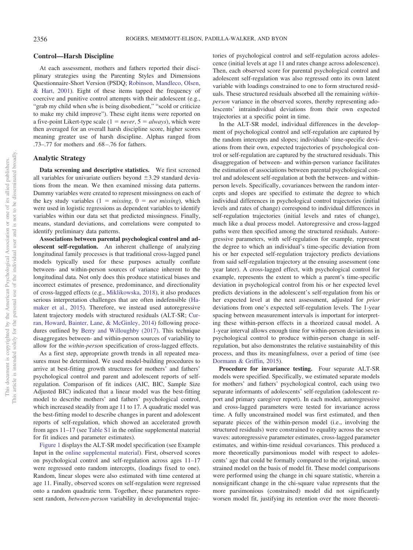#### **Control—Harsh Discipline**

At each assessment, mothers and fathers reported their disciplinary strategies using the Parenting Styles and Dimensions Questionnaire-Short Version (PSDQ; [Robinson, Mandleco, Olsen,](#page-13-22) [& Hart, 2001\)](#page-13-22). Eight of these items tapped the frequency of coercive and punitive control attempts with their adolescent (e.g., "grab my child when s/he is being disobedient," "scold or criticize to make my child improve"). These eight items were reported on a five-point Likert-type scale  $(1 = never, 5 = always)$ , which were then averaged for an overall harsh discipline score, higher scores meaning greater use of harsh discipline. Alphas ranged from .73–.77 for mothers and .68 –.76 for fathers.

#### **Analytic Strategy**

**Data screening and descriptive statistics.** We first screened all variables for univariate outliers beyond  $\pm 3.29$  standard deviations from the mean. We then examined missing data patterns. Dummy variables were created to represent missingness on each of the key study variables  $(1 = missing, 0 = not missing)$ , which were used in logistic regressions as dependent variables to identify variables within our data set that predicted missingness. Finally, means, standard deviations, and correlations were computed to identify preliminary data patterns.

**Associations between parental psychological control and adolescent self-regulation.** An inherent challenge of analyzing longitudinal family processes is that traditional cross-lagged panel models typically used for these purposes actually conflate between- and within-person sources of variance inherent to the longitudinal data. Not only does this produce statistical biases and incorrect estimates of presence, predominance, and directionality of cross-lagged effects (e.g., [Miklikowska, 2018\)](#page-13-23), it also produces serious interpretation challenges that are often indefensible [\(Ha](#page-12-16)[maker et al., 2015\)](#page-12-16). Therefore, we instead used autoregressive latent trajectory models with structured residuals (ALT-SR; [Cur](#page-12-23)[ran, Howard, Bainter, Lane, & McGinley, 2014\)](#page-12-23) following procedures outlined by [Berry and Willoughby \(2017\).](#page-12-24) This technique disaggregates between- and within-person sources of variability to allow for the *within-person* specification of cross-lagged effects.

As a first step, appropriate growth trends in all repeated measures must be determined. We used model-building procedures to arrive at best-fitting growth structures for mothers' and fathers' psychological control and parent and adolescent reports of selfregulation. Comparison of fit indices (AIC, BIC, Sample Size Adjusted BIC) indicated that a linear model was the best-fitting model to describe mothers' and fathers' psychological control, which increased steadily from age 11 to 17. A quadratic model was the best-fitting model to describe changes in parent and adolescent reports of self-regulation, which showed an accelerated growth from ages 11–17 (see [Table S1](http://dx.doi.org/10.1037/dev0000818.supp) in the online supplemental material for fit indices and parameter estimates).

[Figure 1](#page-6-0) displays the ALT-SR model specification (see Example Input in the [online supplemental material\)](http://dx.doi.org/10.1037/dev0000818.supp). First, observed scores on psychological control and self-regulation across ages 11–17 were regressed onto random intercepts, (loadings fixed to one). Random, linear slopes were also estimated with time centered at age 11. Finally, observed scores on self-regulation were regressed onto a random quadratic term. Together, these parameters represent random, *between-person* variability in developmental trajectories of psychological control and self-regulation across adolescence (initial levels at age 11 and rates change across adolescence). Then, each observed score for parental psychological control and adolescent self-regulation was also regressed onto its own latent variable with loadings constrained to one to form structured residuals. These structured residuals absorbed all the remaining *withinperson* variance in the observed scores, thereby representing adolescents' intraindividual deviations from their own expected trajectories at a specific point in time.

In the ALT-SR model, individual differences in the development of psychological control and self-regulation are captured by the random intercepts and slopes; individuals' time-specific deviations from their own, expected trajectories of psychological control or self-regulation are captured by the structured residuals. This disaggregation of between- and within-person variance facilitates the estimation of associations between parental psychological control and adolescent self-regulation at both the between- and withinperson levels. Specifically, covariances between the random intercepts and slopes are specified to estimate the degree to which individual differences in psychological control trajectories (initial levels and rates of change) correspond to individual differences in self-regulation trajectories (initial levels and rates of change), much like a dual process model. Autoregressive and cross-lagged paths were then specified among the structured residuals. Autoregressive parameters, with self-regulation for example, represent the degree to which an individual's time-specific deviation from his or her expected self-regulation trajectory predicts deviations from said self-regulation trajectory at the ensuing assessment (one year later). A cross-lagged effect, with psychological control for example, represents the extent to which a parent's time-specific deviation in psychological control from his or her expected level predicts deviations in the adolescent's self-regulation from his or her expected level at the next assessment, adjusted for *prior* deviations from one's expected self-regulation levels. The 1-year spacing between measurement intervals is important for interpreting these within-person effects in a theorized causal model. A 1-year interval allows enough time for within-person deviations in psychological control to produce within-person change in selfregulation, but also demonstrates the relative sustainability of this process, and thus its meaningfulness, over a period of time (see [Dormann & Griffin, 2015\)](#page-12-25).

**Procedure for invariance testing.** Four separate ALT-SR models were specified. Specifically, we estimated separate models for mothers' and fathers' psychological control, each using two separate informants of adolescents' self-regulation (adolescent report and primary caregiver report). In each model, autoregressive and cross-lagged parameters were tested for invariance across time. A fully unconstrained model was first estimated, and then separate pieces of the within-person model (i.e., involving the structured residuals) were constrained to equality across the seven waves: autoregressive parameter estimates, cross-lagged parameter estimates, and within-time residual covariances. This produced a more theoretically parsimonious model with respect to adolescents' age that could be formally compared to the original, unconstrained model on the basis of model fit. These model comparisons were performed using the change in chi square statistic, wherein a nonsignificant change in the chi-square value represents that the more parsimonious (constrained) model did not significantly worsen model fit, justifying its retention over the more theoreti-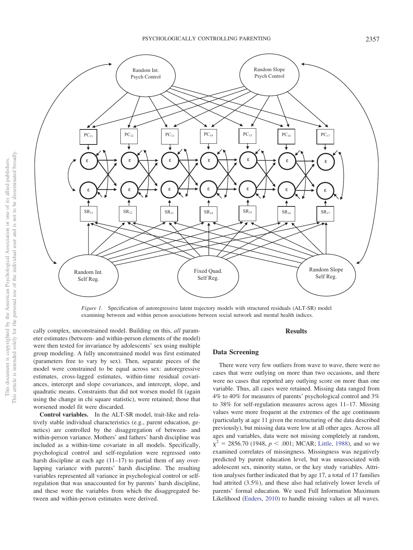

<span id="page-6-0"></span>*Figure 1.* Specification of autoregressive latent trajectory models with structured residuals (ALT-SR) model examining between and within person associations between social network and mental health indices.

cally complex, unconstrained model. Building on this, *all* parameter estimates (between- and within-person elements of the model) were then tested for invariance by adolescents' sex using multiple group modeling. A fully unconstrained model was first estimated (parameters free to vary by sex). Then, separate pieces of the model were constrained to be equal across sex: autoregressive estimates, cross-lagged estimates, within-time residual covariances, intercept and slope covariances, and intercept, slope, and quadratic means. Constraints that did not worsen model fit (again using the change in chi square statistic), were retained; those that worsened model fit were discarded.

**Control variables.** In the ALT-SR model, trait-like and relatively stable individual characteristics (e.g., parent education, genetics) are controlled by the disaggregation of between- and within-person variance. Mothers' and fathers' harsh discipline was included as a within-time covariate in all models. Specifically, psychological control and self-regulation were regressed onto harsh discipline at each age (11–17) to partial them of any overlapping variance with parents' harsh discipline. The resulting variables represented all variance in psychological control or selfregulation that was unaccounted for by parents' harsh discipline, and these were the variables from which the disaggregated between and within-person estimates were derived.

#### **Results**

#### **Data Screening**

There were very few outliers from wave to wave, there were no cases that were outlying on more than two occasions, and there were no cases that reported any outlying score on more than one variable. Thus, all cases were retained. Missing data ranged from 4% to 40% for measures of parents' psychological control and 3% to 38% for self-regulation measures across ages 11–17. Missing values were more frequent at the extremes of the age continuum (particularly at age 11 given the restructuring of the data described previously), but missing data were low at all other ages. Across all ages and variables, data were not missing completely at random,  $\chi^2$  = 2856.70 (1948, *p* < .001; MCAR; [Little, 1988\)](#page-12-18), and so we examined correlates of missingness. Missingness was negatively predicted by parent education level, but was unassociated with adolescent sex, minority status, or the key study variables. Attrition analyses further indicated that by age 17, a total of 17 families had attrited (3.5%), and these also had relatively lower levels of parents' formal education. We used Full Information Maximum Likelihood [\(Enders, 2010\)](#page-12-26) to handle missing values at all waves.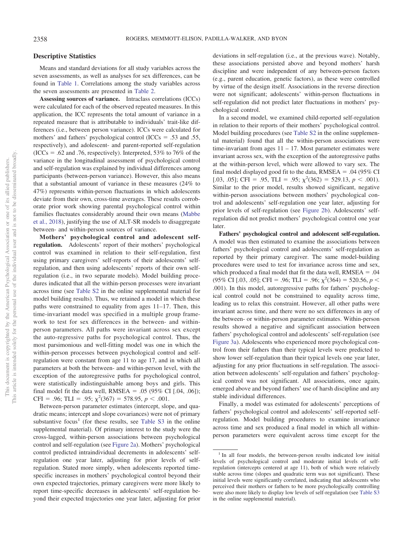#### **Descriptive Statistics**

Means and standard deviations for all study variables across the seven assessments, as well as analyses for sex differences, can be found in [Table 1.](#page-8-0) Correlations among the study variables across the seven assessments are presented in [Table 2.](#page-8-1)

**Assessing sources of variance.** Intraclass correlations (ICCs) were calculated for each of the observed repeated measures. In this application, the ICC represents the total amount of variance in a repeated measure that is attributable to individuals' trait-like differences (i.e., between person variance). ICCs were calculated for mothers' and fathers' psychological control (ICCs  $= .53$  and .55, respectively), and adolescent- and parent-reported self-regulation  $(ICCs = .62$  and .76, respectively). Interpreted, 53% to 76% of the variance in the longitudinal assessment of psychological control and self-regulation was explained by individual differences among participants (between-person variance). However, this also means that a substantial amount of variance in these measures (24% to 47%) represents within-person fluctuations in which adolescents deviate from their own, cross-time averages. These results corroborate prior work showing parental psychological control within families fluctuates considerably around their own means [\(Mabbe](#page-12-11) [et al., 2018\)](#page-12-11), justifying the use of ALT-SR models to disaggregate between- and within-person sources of variance.

**Mothers' psychological control and adolescent selfregulation.** Adolescents' report of their mothers' psychological control was examined in relation to their self-regulation, first using primary caregivers' self-reports of their adolescents' selfregulation, and then using adolescents' reports of their own selfregulation (i.e., in two separate models). Model building procedures indicated that all the within-person processes were invariant across time (see [Table S2](http://dx.doi.org/10.1037/dev0000818.supp) in the online supplemental material for model building results). Thus, we retained a model in which these paths were constrained to equality from ages 11–17. Then, this time-invariant model was specified in a multiple group framework to test for sex differences in the between- and withinperson parameters. All paths were invariant across sex except the auto-regressive paths for psychological control. Thus, the most parsimonious and well-fitting model was one in which the within-person processes between psychological control and selfregulation were constant from age 11 to age 17, and in which all parameters at both the between- and within-person level, with the exception of the autoregressive paths for psychological control, were statistically indistinguishable among boys and girls. This final model fit the data well,  $RMSEA = .05 (95\% \text{ CI} [.04, .06])$ ; CFI = .96; TLI = .95;  $\chi^2(367) = 578.95$ ,  $p < .001$ .

Between-person parameter estimates (intercept, slope, and quadratic means; intercept and slope covariances) were not of primary substantive focus<sup>1</sup> (for these results, see Table  $S3$  in the online supplemental material). Of primary interest to the study were the cross-lagged, within-person associations between psychological control and self-regulation (see [Figure 2a\)](#page-9-0). Mothers' psychological control predicted intraindividual decrements in adolescents' selfregulation one year later, adjusting for prior levels of selfregulation. Stated more simply, when adolescents reported timespecific increases in mothers' psychological control beyond their own expected trajectories, primary caregivers were more likely to report time-specific decreases in adolescents' self-regulation beyond their expected trajectories one year later, adjusting for prior deviations in self-regulation (i.e., at the previous wave). Notably, these associations persisted above and beyond mothers' harsh discipline and were independent of any between-person factors (e.g., parent education, genetic factors), as these were controlled by virtue of the design itself. Associations in the reverse direction were not significant; adolescents' within-person fluctuations in self-regulation did not predict later fluctuations in mothers' psychological control.

In a second model, we examined child-reported self-regulation in relation to their reports of their mothers' psychological control. Model building procedures (see [Table S2](http://dx.doi.org/10.1037/dev0000818.supp) in the online supplemental material) found that all the within-person associations were time-invariant from ages  $11 - 17$ . Most parameter estimates were invariant across sex, with the exception of the autoregressive paths at the within-person level, which were allowed to vary sex. The final model displayed good fit to the data,  $RMSEA = .04$  (95% CI [.03, .05]; CFI = .95, TLI = .95;  $\chi^2(362) = 529.13$ ,  $p < .001$ ). Similar to the prior model, results showed significant, negative within-person associations between mothers' psychological control and adolescents' self-regulation one year later, adjusting for prior levels of self-regulation (see [Figure 2b\)](#page-9-0). Adolescents' selfregulation did not predict mothers' psychological control one year later.

**Fathers' psychological control and adolescent self-regulation.** A model was then estimated to examine the associations between fathers' psychological control and adolescents' self-regulation as reported by their primary caregiver. The same model-building procedures were used to test for invariance across time and sex, which produced a final model that fit the data well,  $RMSEA = .04$  $(95\% \text{ CI} [.03, .05]; \text{CFI} = .96; \text{TLI} = .96; \chi^2(364) = 520.56, p <$ .001). In this model, autoregressive paths for fathers' psychological control could not be constrained to equality across time, leading us to relax this constraint. However, all other paths were invariant across time, and there were no sex differences in any of the between- or within-person parameter estimates. Within-person results showed a negative and significant association between fathers' psychological control and adolescents' self-regulation (see [Figure 3a\)](#page-10-0). Adolescents who experienced more psychological control from their fathers than their typical levels were predicted to show lower self-regulation than their typical levels one year later, adjusting for any prior fluctuations in self-regulation. The association between adolescents' self-regulation and fathers' psychological control was not significant. All associations, once again, emerged above and beyond fathers' use of harsh discipline and any stable individual differences.

Finally, a model was estimated for adolescents' perceptions of fathers' psychological control and adolescents' self-reported selfregulation. Model building procedures to examine invariance across time and sex produced a final model in which all withinperson parameters were equivalent across time except for the

<sup>&</sup>lt;sup>1</sup> In all four models, the between-person results indicated low initial levels of psychological control and moderate initial levels of selfregulation (intercepts centered at age 11), both of which were relatively stable across time (slopes and quadratic term was not significant). These initial levels were significantly correlated, indicating that adolescents who perceived their mothers or fathers to be more psychologically controlling were also more likely to display low levels of self-regulation (see [Table S3](http://dx.doi.org/10.1037/dev0000818.supp) in the online supplemental material).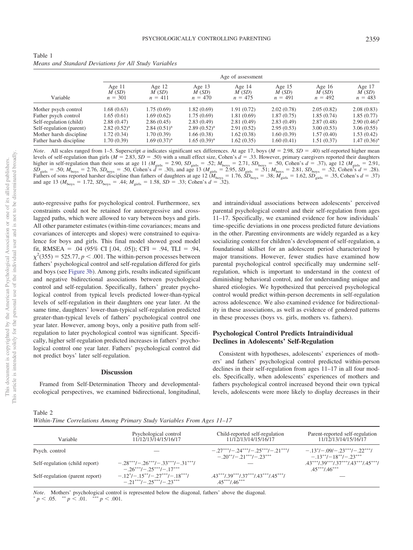<span id="page-8-0"></span>

| Table 1                                               |  |
|-------------------------------------------------------|--|
| Means and Standard Deviations for All Study Variables |  |

|                          |                                |                                |                                | Age of assessment              |                                |                                |                                |
|--------------------------|--------------------------------|--------------------------------|--------------------------------|--------------------------------|--------------------------------|--------------------------------|--------------------------------|
| Variable                 | Age $11$<br>M(SD)<br>$n = 301$ | Age $12$<br>M(SD)<br>$n = 411$ | Age $13$<br>M(SD)<br>$n = 470$ | Age $14$<br>M(SD)<br>$n = 475$ | Age $15$<br>M(SD)<br>$n = 491$ | Age $16$<br>M(SD)<br>$n = 492$ | Age $17$<br>M(SD)<br>$n = 483$ |
| Mother psych control     | 1.68(0.63)                     | 1.75 (0.69)                    | 1.82(0.69)                     | 1.91(0.72)                     | 2.02(0.78)                     | 2.05(0.82)                     | 2.08(0.83)                     |
| Father psych control     | 1.65(0.61)                     | 1.69 (0.62)                    | 1.75(0.69)                     | 1.81(0.69)                     | 1.87(0.75)                     | 1.85(0.74)                     | 1.85(0.77)                     |
| Self-regulation (child)  | 2.88(0.47)                     | 2.86(0.45)                     | 2.83(0.49)                     | 2.81(0.49)                     | 2.83(0.49)                     | 2.87(0.48)                     | $2.90(0.46)^a$                 |
| Self-regulation (parent) | $2.82(0.52)^a$                 | $2.84(0.51)^a$                 | $2.89(0.52)^{a}$               | 2.91(0.52)                     | 2.95(0.53)                     | 3.00(0.53)                     | 3.06(0.55)                     |
| Mother harsh discipline  | 1.72(0.34)                     | 1.70 (0.39)                    | 1.66(0.38)                     | 1.62(0.38)                     | 1.60 (0.39)                    | 1.57(0.40)                     | 1.53(0.42)                     |
| Father harsh discipline  | 1.70 (0.39)                    | $1.69(0.37)^{a}$               | $1.65(0.39)^a$                 | 1.62(0.35)                     | 1.60(0.41)                     | 1.51(0.37)                     | $1.47(0.36)^a$                 |

*Note*. All scales ranged from 1–5. Superscript *a* indicates significant sex differences. At age 17, boys  $(M = 2.98, SD = .40)$  self-reported higher mean levels of self-regulation than girls  $(M = 2.83, SD = .50)$  with a small effect size, Cohen's  $d = .33$ . However, primary caregivers reported their daughters higher in self-regulation than their sons at age 11 ( $M_{\text{girls}} = 2.90$ ,  $SD_{\text{girls}} = .52$ ;  $M_{\text{boys}} = 2.71$ ,  $SD_{\text{boys}} = .50$ , Cohen's  $d = .37$ ), age 12 ( $M_{\text{girls}} = 2.91$ ,  $SD_{\text{girls}} = .50$ ;  $M_{\text{boys}} = 2.76$ ,  $SD_{\text{boys}} = .50$ , Cohen's  $d = .30$ , and age 13 ( $M_{\text{girls}} = 2.95$ ,  $SD_{\text{girls}} = .51$ ;  $M_{\text{boys}} = 2.81$ ,  $SD_{\text{boys}} = .52$ , Cohen's  $d = .28$ ). Fathers of sons reported harsher discipline than fathers of daughters at age 12 ( $M_{\text{boys}} = 1.76$ ,  $SD_{\text{boys}} = 0.38$ ;  $M_{\text{girls}} = 1.62$ ,  $SD_{\text{girls}} = 0.35$ , Cohen's  $d = 0.37$ ) and age 13 ( $M_{\text{boys}} = 1.72$ ,  $SD_{\text{boys}} = .44$ ;  $M_{\text{girls}} = 1.58$ ,  $SD = .33$ ; Cohen's  $d = .32$ ).

auto-regressive paths for psychological control. Furthermore, sex constraints could not be retained for autoregressive and crosslagged paths, which were allowed to vary between boys and girls. All other parameter estimates (within-time covariances; means and covariances of intercepts and slopes) were constrained to equivalence for boys and girls. This final model showed good model fit, RMSEA = .04 (95% CI [.04, .05]); CFI = .94, TLI = .94,  $\chi^2$ (355) = 525.77, *p* < .001. The within-person processes between fathers' psychological control and self-regulation differed for girls and boys (see [Figure 3b\)](#page-10-0). Among girls, results indicated significant and negative bidirectional associations between psychological control and self-regulation. Specifically, fathers' greater psychological control from typical levels predicted lower-than-typical levels of self-regulation in their daughters one year later. At the same time, daughters' lower-than-typical self-regulation predicted greater-than-typical levels of fathers' psychological control one year later. However, among boys, only a positive path from selfregulation to later psychological control was significant. Specifically, higher self-regulation predicted increases in fathers' psychological control one year later. Fathers' psychological control did not predict boys' later self-regulation.

#### **Discussion**

Framed from Self-Determination Theory and developmentalecological perspectives, we examined bidirectional, longitudinal,

and intraindividual associations between adolescents' perceived parental psychological control and their self-regulation from ages 11–17. Specifically, we examined evidence for how individuals' time-specific deviations in one process predicted future deviations in the other. Parenting environments are widely regarded as a key socializing context for children's development of self-regulation, a foundational skillset for an adolescent period characterized by major transitions. However, fewer studies have examined how parental psychological control specifically may undermine selfregulation, which is important to understand in the context of diminishing behavioral control, and for understanding unique and shared etiologies. We hypothesized that perceived psychological control would predict within-person decrements in self-regulation across adolescence. We also examined evidence for bidirectionality in these associations, as well as evidence of gendered patterns in these processes (boys vs. girls, mothers vs. fathers).

#### **Psychological Control Predicts Intraindividual Declines in Adolescents' Self-Regulation**

Consistent with hypotheses, adolescents' experiences of mothers' and fathers' psychological control predicted within-person declines in their self-regulation from ages 11–17 in all four models. Specifically, when adolescents' experiences of mothers and fathers psychological control increased beyond their own typical levels, adolescents were more likely to display decreases in their

<span id="page-8-1"></span>Table 2

| Within-Time Correlations Among Primary Study Variables From Ages 11-17 |  |  |  |
|------------------------------------------------------------------------|--|--|--|
|                                                                        |  |  |  |

| Variable                        | Psychological control<br>11/12/13/14/15/16/17                                                | Child-reported self-regulation<br>11/12/13/14/15/16/17                   | Parent-reported self-regulation<br>11/12/13/14/15/16/17                                                                                                                                                                                                                                                                   |
|---------------------------------|----------------------------------------------------------------------------------------------|--------------------------------------------------------------------------|---------------------------------------------------------------------------------------------------------------------------------------------------------------------------------------------------------------------------------------------------------------------------------------------------------------------------|
| Psych. control                  |                                                                                              | $-0.27***/-0.24***/-0.25***/-0.21***/$<br>$-20^{**}/-21^{***}/-23^{***}$ | $-13^{\ast}/-09/-23^{\ast\ast\ast}/-22^{\ast\ast\ast}/$<br>$-13^{**}/-18^{**}/-23^{***}$                                                                                                                                                                                                                                  |
| Self-regulation (child report)  | $-28^{***}/-.26^{***}/-.33^{***}/-.31^{***}/$<br>$-.26***/-.25***/-.17***$                   |                                                                          | $.43***/0.39***/0.37***/0.43***/0.45***/0.45***/0.45***/0.45***/0.45***/0.45***/0.45***/0.45***/0.45***/0.45***/0.45***/0.45***/0.45***/0.45***/0.45***/0.45***/0.45***/0.45***/0.45***/0.45***/0.45***/0.45***/0.45***/0.45***/0.45***/0.45***/0.45***/0.45***/0.45***/0.45***/0.45***/0.45***/0.45***$<br>$45***146***$ |
| Self-regulation (parent report) | $-12^{\ast}/-15^{\ast\ast}/-27^{\ast\ast\ast}/-18^{\ast\ast\ast}/$<br>$-21***/-25***/-23***$ | $43***/39***/37***/43***/45***/$<br>$45***/46***$                        |                                                                                                                                                                                                                                                                                                                           |

*Note*. Mothers' psychological control is represented below the diagonal, fathers' above the diagonal.

 $p < .05.$  \*\*  $p < .01.$  \*\*\*  $p < .001.$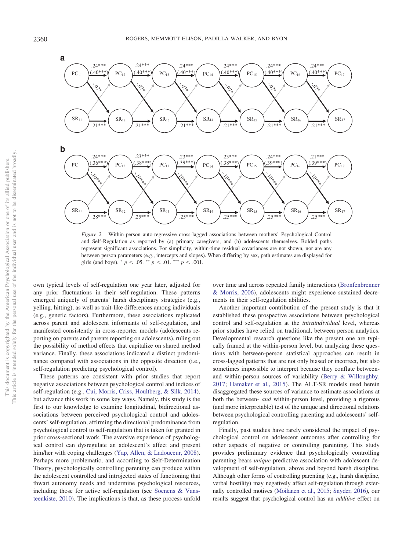

<span id="page-9-0"></span>*Figure 2.* Within-person auto-regressive cross-lagged associations between mothers' Psychological Control and Self-Regulation as reported by (a) primary caregivers, and (b) adolescents themselves. Bolded paths represent significant associations. For simplicity, within-time residual covariances are not shown, nor are any between person parameters (e.g., intercepts and slopes). When differing by sex, path estimates are displayed for girls (and boys).  $p < .05$ .  $p < .01$ .  $p < .001$ .

own typical levels of self-regulation one year later, adjusted for any prior fluctuations in their self-regulation. These patterns emerged uniquely of parents' harsh disciplinary strategies (e.g., yelling, hitting), as well as trait-like differences among individuals (e.g., genetic factors). Furthermore, these associations replicated across parent and adolescent informants of self-regulation, and manifested consistently in cross-reporter models (adolescents reporting on parents and parents reporting on adolescents), ruling out the possibility of method effects that capitalize on shared method variance. Finally, these associations indicated a distinct predominance compared with associations in the opposite direction (i.e., self-regulation predicting psychological control).

These patterns are consistent with prior studies that report negative associations between psychological control and indices of self-regulation (e.g., [Cui, Morris, Criss, Houltberg, & Silk, 2014\)](#page-12-27), but advance this work in some key ways. Namely, this study is the first to our knowledge to examine longitudinal, bidirectional associations between perceived psychological control and adolescents' self-regulation, affirming the directional predominance from psychological control to self-regulation that is taken for granted in prior cross-sectional work. The aversive experience of psychological control can dysregulate an adolescent's affect and present him/her with coping challenges [\(Yap, Allen, & Ladouceur, 2008\)](#page-13-24). Perhaps more problematic, and according to Self-Determination Theory, psychologically controlling parenting can produce within the adolescent controlled and introjected states of functioning that thwart autonomy needs and undermine psychological resources, including those for active self-regulation (see [Soenens & Vans](#page-13-3)[teenkiste, 2010\)](#page-13-3). The implications is that, as these process unfold over time and across repeated family interactions [\(Bronfenbrenner](#page-12-28) [& Morris, 2006\)](#page-12-28), adolescents might experience sustained decrements in their self-regulation abilities.

Another important contribution of the present study is that it established these prospective associations between psychological control and self-regulation at the *intraindividual* level, whereas prior studies have relied on traditional, between person analytics. Developmental research questions like the present one are typically framed at the within-person level, but analyzing these questions with between-person statistical approaches can result in cross-lagged patterns that are not only biased or incorrect, but also sometimes impossible to interpret because they conflate betweenand within-person sources of variability [\(Berry & Willoughby,](#page-12-24) [2017;](#page-12-24) [Hamaker et al., 2015\)](#page-12-16). The ALT-SR models used herein disaggregated these sources of variance to estimate associations at both the between- *and* within-person level, providing a rigorous (and more interpretable) test of the unique and directional relations between psychological controlling parenting and adolescents' selfregulation.

Finally, past studies have rarely considered the impact of psychological control on adolescent outcomes after controlling for other aspects of negative or controlling parenting. This study provides preliminary evidence that psychologically controlling parenting bears *unique* predictive association with adolescent development of self-regulation, above and beyond harsh discipline. Although other forms of controlling parenting (e.g., harsh discipline, verbal hostility) may negatively affect self-regulation through externally controlled motives [\(Moilanen et al., 2015;](#page-13-19) [Snyder, 2016\)](#page-13-25), our results suggest that psychological control has an *additive* effect on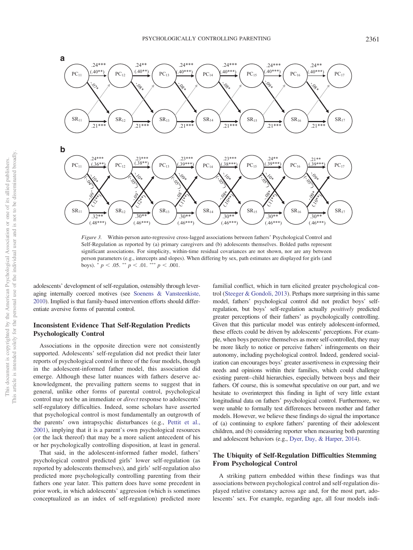

<span id="page-10-0"></span>*Figure 3.* Within-person auto-regressive cross-lagged associations between fathers' Psychological Control and Self-Regulation as reported by (a) primary caregivers and (b) adolescents themselves. Bolded paths represent significant associations. For simplicity, within-time residual covariances are not shown, nor are any between person parameters (e.g., intercepts and slopes). When differing by sex, path estimates are displayed for girls (and boys).  $p < .05.$  \*\*  $p < .01.$  \*\*\*  $p < .001.$ 

adolescents' development of self-regulation, ostensibly through leveraging internally coerced motives (see [Soenens & Vansteenkiste,](#page-13-3) [2010\)](#page-13-3). Implied is that family-based intervention efforts should differentiate aversive forms of parental control.

#### **Inconsistent Evidence That Self-Regulation Predicts Psychologically Control**

Associations in the opposite direction were not consistently supported. Adolescents' self-regulation did not predict their later reports of psychological control in three of the four models, though in the adolescent-informed father model, this association did emerge. Although these latter nuances with fathers deserve acknowledgment, the prevailing pattern seems to suggest that in general, unlike other forms of parental control, psychological control may not be an immediate or *direct* response to adolescents' self-regulatory difficulties. Indeed, some scholars have asserted that psychological control is most fundamentally an outgrowth of the parents' own intrapsychic disturbances (e.g., [Pettit et al.,](#page-13-18) [2001\)](#page-13-18), implying that it is a parent's own psychological resources (or the lack thereof) that may be a more salient antecedent of his or her psychologically controlling disposition, at least in general.

That said, in the adolescent-informed father model, fathers' psychological control predicted girls' lower self-regulation (as reported by adolescents themselves), and girls' self-regulation also predicted more psychologically controlling parenting from their fathers one year later. This pattern does have some precedent in prior work, in which adolescents' aggression (which is sometimes conceptualized as an index of self-regulation) predicted more

familial conflict, which in turn elicited greater psychological control [\(Steeger & Gondoli, 2013\)](#page-13-17). Perhaps more surprising in this same model, fathers' psychological control did not predict boys' selfregulation, but boys' self-regulation actually *positively* predicted greater perceptions of their fathers' as psychologically controlling. Given that this particular model was entirely adolescent-informed, these effects could be driven by adolescents' perceptions. For example, when boys perceive themselves as more self-controlled, they may be more likely to notice or perceive fathers' infringements on their autonomy, including psychological control. Indeed, gendered socialization can encourages boys' greater assertiveness in expressing their needs and opinions within their families, which could challenge existing parent–child hierarchies, especially between boys and their fathers. Of course, this is somewhat speculative on our part, and we hesitate to overinterpret this finding in light of very little extant longitudinal data on fathers' psychological control. Furthermore, we were unable to formally test differences between mother and father models. However, we believe these findings do signal the importance of (a) continuing to explore fathers' parenting of their adolescent children, and (b) considering reporter when measuring both parenting and adolescent behaviors (e.g., [Dyer, Day, & Harper, 2014\)](#page-12-29).

#### **The Ubiquity of Self-Regulation Difficulties Stemming From Psychological Control**

A striking pattern embedded within these findings was that associations between psychological control and self-regulation displayed relative constancy across age and, for the most part, adolescents' sex. For example, regarding age, all four models indi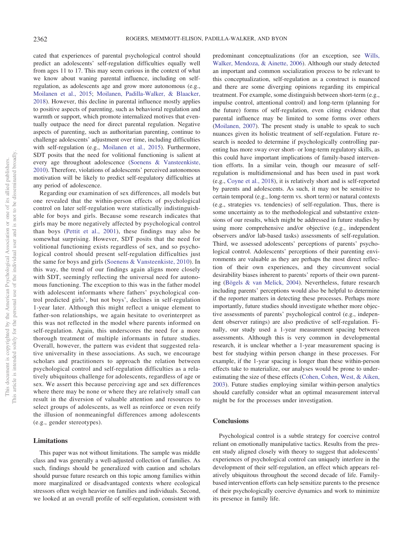cated that experiences of parental psychological control should predict an adolescents' self-regulation difficulties equally well from ages 11 to 17. This may seem curious in the context of what we know about waning parental influence, including on selfregulation, as adolescents age and grow more autonomous (e.g., [Moilanen et al., 2015;](#page-13-19) [Moilanen, Padilla-Walker, & Blaacker,](#page-13-26) [2018\)](#page-13-26). However, this decline in parental influence mostly applies to positive aspects of parenting, such as behavioral regulation and warmth or support, which promote internalized motives that eventually outpace the need for direct parental regulation. Negative aspects of parenting, such as authoritarian parenting, continue to challenge adolescents' adjustment over time, including difficulties with self-regulation (e.g., [Moilanen et al., 2015\)](#page-13-19). Furthermore, SDT posits that the need for volitional functioning is salient at every age throughout adolescence [\(Soenens & Vansteenkiste,](#page-13-3) [2010\)](#page-13-3). Therefore, violations of adolescents' perceived autonomous motivation will be likely to predict self-regulatory difficulties at any period of adolescence.

Regarding our examination of sex differences, all models but one revealed that the within-person effects of psychological control on later self-regulation were statistically indistinguishable for boys and girls. Because some research indicates that girls may be more negatively affected by psychological control than boys [\(Pettit et al., 2001\)](#page-13-18), these findings may also be somewhat surprising. However, SDT posits that the need for volitional functioning exists regardless of sex, and so psychological control should present self-regulation difficulties just the same for boys and girls [\(Soenens & Vansteenkiste, 2010\)](#page-13-3). In this way, the trend of our findings again aligns more closely with SDT, seemingly reflecting the universal need for autonomous functioning. The exception to this was in the father model with adolescent informants where fathers' psychological control predicted girls', but not boys', declines in self-regulation 1-year later. Although this might reflect a unique element to father-son relationships, we again hesitate to overinterpret as this was not reflected in the model where parents informed on self-regulation. Again, this underscores the need for a more thorough treatment of multiple informants in future studies. Overall, however, the pattern was evident that suggested relative universality in these associations. As such, we encourage scholars and practitioners to approach the relation between psychological control and self-regulation difficulties as a relatively ubiquitous challenge for adolescents, regardless of age or sex. We assert this because perceiving age and sex differences where there may be none or where they are relatively small can result in the diversion of valuable attention and resources to select groups of adolescents, as well as reinforce or even reify the illusion of nonmeaningful differences among adolescents (e.g., gender stereotypes).

#### **Limitations**

This paper was not without limitations. The sample was middle class and was generally a well-adjusted collection of families. As such, findings should be generalized with caution and scholars should pursue future research on this topic among families within more marginalized or disadvantaged contexts where ecological stressors often weigh heavier on families and individuals. Second, we looked at an overall profile of self-regulation, consistent with

predominant conceptualizations (for an exception, see [Wills,](#page-13-27) [Walker, Mendoza, & Ainette, 2006\)](#page-13-27). Although our study detected an important and common socialization process to be relevant to this conceptualization, self-regulation as a construct is nuanced and there are some diverging opinions regarding its empirical treatment. For example, some distinguish between short-term (e.g., impulse control, attentional control) and long-term (planning for the future) forms of self-regulation, even citing evidence that parental influence may be limited to some forms over others [\(Moilanen, 2007\)](#page-13-21). The present study is unable to speak to such nuances given its holistic treatment of self-regulation. Future research is needed to determine if psychologically controlling parenting has more sway over short- or long-term regulatory skills, as this could have important implications of family-based intervention efforts. In a similar vein, though our measure of selfregulation is multidimensional and has been used in past work (e.g., [Coyne et al., 2018\)](#page-12-22), it is relatively short and is self-reported by parents and adolescents. As such, it may not be sensitive to certain temporal (e.g., long-term vs. short term) or natural contexts (e.g., strategies vs. tendencies) of self-regulation. Thus, there is some uncertainty as to the methodological and substantive extensions of our results, which might be addressed in future studies by using more comprehensive and/or objective (e.g., independent observers and/or lab-based tasks) assessments of self-regulation. Third, we assessed adolescents' perceptions of parents' psychological control. Adolescents' perceptions of their parenting environments are valuable as they are perhaps the most direct reflection of their own experiences, and they circumvent social desirability biases inherent to parents' reports of their own parenting [\(Bögels & van Melick, 2004\)](#page-12-5). Nevertheless, future research including parents' perceptions would also be helpful to determine if the reporter matters in detecting these processes. Perhaps more importantly, future studies should investigate whether more objective assessments of parents' psychological control (e.g., independent observer ratings) are also predictive of self-regulation. Finally, our study used a 1-year measurement spacing between assessments. Although this is very common in developmental research, it is unclear whether a 1-year measurement spacing is best for studying within person change in these processes. For example, if the 1-year spacing is longer than these within-person effects take to materialize, our analyses would be prone to underestimating the size of these effects [\(Cohen, Cohen, West, & Aiken,](#page-12-30) [2003\)](#page-12-30). Future studies employing similar within-person analytics should carefully consider what an optimal measurement interval might be for the processes under investigation.

#### **Conclusions**

Psychological control is a subtle strategy for coercive control reliant on emotionally manipulative tactics. Results from the present study aligned closely with theory to suggest that adolescents' experiences of psychological control can uniquely interfere in the development of their self-regulation, an effect which appears relatively ubiquitous throughout the second decade of life. Familybased intervention efforts can help sensitize parents to the presence of their psychologically coercive dynamics and work to minimize its presence in family life.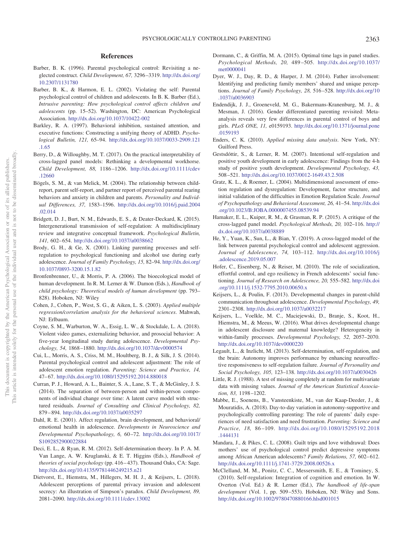#### **References**

- <span id="page-12-7"></span>Barber, B. K. (1996). Parental psychological control: Revisiting a neglected construct. *Child Development, 67,* 3296 –3319. [http://dx.doi.org/](http://dx.doi.org/10.2307/1131780) [10.2307/1131780](http://dx.doi.org/10.2307/1131780)
- <span id="page-12-8"></span>Barber, B. K., & Harmon, E. L. (2002). Violating the self: Parental psychological control of children and adolescents. In B. K. Barber (Ed.), *Intrusive parenting: How psychological control affects children and adolescents* (pp. 15–52). Washington, DC: American Psychological Association. <http://dx.doi.org/10.1037/10422-002>
- <span id="page-12-19"></span>Barkley, R. A. (1997). Behavioral inhibition, sustained attention, and executive functions: Constructing a unifying theory of ADHD. *Psychological Bulletin, 121,* 65–94. [http://dx.doi.org/10.1037/0033-2909.121](http://dx.doi.org/10.1037/0033-2909.121.1.65) [.1.65](http://dx.doi.org/10.1037/0033-2909.121.1.65)
- <span id="page-12-24"></span>Berry, D., & Willoughby, M. T. (2017). On the practical interpretability of cross-lagged panel models: Rethinking a developmental workhorse. *Child Development, 88,* 1186 –1206. [http://dx.doi.org/10.1111/cdev](http://dx.doi.org/10.1111/cdev.12660) [.12660](http://dx.doi.org/10.1111/cdev.12660)
- <span id="page-12-5"></span>Bögels, S. M., & van Melick, M. (2004). The relationship between childreport, parent self-report, and partner report of perceived parental rearing behaviors and anxiety in children and parents. *Personality and Individual Differences, 37,* 1583–1596. [http://dx.doi.org/10.1016/j.paid.2004](http://dx.doi.org/10.1016/j.paid.2004.02.014) [.02.014](http://dx.doi.org/10.1016/j.paid.2004.02.014)
- <span id="page-12-1"></span>Bridgett, D. J., Burt, N. M., Edwards, E. S., & Deater-Deckard, K. (2015). Intergenerational transmission of self-regulation: A multidisciplinary review and integrative conceptual framework. *Psychological Bulletin, 141,* 602– 654. <http://dx.doi.org/10.1037/a0038662>
- <span id="page-12-0"></span>Brody, G. H., & Ge, X. (2001). Linking parenting processes and selfregulation to psychological functioning and alcohol use during early adolescence. *Journal of Family Psychology, 15,* 82–94. [http://dx.doi.org/](http://dx.doi.org/10.1037/0893-3200.15.1.82) [10.1037/0893-3200.15.1.82](http://dx.doi.org/10.1037/0893-3200.15.1.82)
- <span id="page-12-28"></span>Bronfenbrenner, U., & Morris, P. A. (2006). The bioecological model of human development. In R. M. Lerner & W. Damon (Eds.), *Handbook of child psychology: Theoretical models of human development* (pp. 793– 828). Hoboken, NJ: Wiley
- <span id="page-12-30"></span>Cohen, J., Cohen, P., West, S. G., & Aiken, L. S. (2003). *Applied multiple regression/correlation analysis for the behavioral sciences*. Mahwah, NJ: Erlbaum.
- <span id="page-12-22"></span>Coyne, S. M., Warburton, W. A., Essig, L. W., & Stockdale, L. A. (2018). Violent video games, externalizing behavior, and prosocial behavior: A five-year longitudinal study during adolescence. *Developmental Psychology, 54,* 1868 –1880. <http://dx.doi.org/10.1037/dev0000574>
- <span id="page-12-27"></span>Cui, L., Morris, A. S., Criss, M. M., Houltberg, B. J., & Silk, J. S. (2014). Parental psychological control and adolescent adjustment: The role of adolescent emotion regulation. *Parenting: Science and Practice, 14,* 47– 67. <http://dx.doi.org/10.1080/15295192.2014.880018>
- <span id="page-12-23"></span>Curran, P. J., Howard, A. L., Bainter, S. A., Lane, S. T., & McGinley, J. S. (2014). The separation of between-person and within-person components of individual change over time: A latent curve model with structured residuals. *Journal of Consulting and Clinical Psychology, 82,* 879 – 894. <http://dx.doi.org/10.1037/a0035297>
- <span id="page-12-2"></span>Dahl, R. E. (2001). Affect regulation, brain development, and behavioral/ emotional health in adolescence. *Developments in Neuroscience and Developmental Psychopathology, 6,* 60 –72. [http://dx.doi.org/10.1017/](http://dx.doi.org/10.1017/S1092852900022884) [S1092852900022884](http://dx.doi.org/10.1017/S1092852900022884)
- <span id="page-12-6"></span>Deci, E. L., & Ryan, R. M. (2012). Self-determination theory. In P. A. M. Van Lange, A. W. Kruglanski, & E. T. Higgins (Eds.), *Handbook of theories of social psychology* (pp. 416 – 437). Thousand Oaks, CA: Sage. <http://dx.doi.org/10.4135/9781446249215.n21>
- <span id="page-12-14"></span>Dietvorst, E., Hiemstra, M., Hillegers, M. H. J., & Keijsers, L. (2018). Adolescent perceptions of parental privacy invasion and adolescent secrecy: An illustration of Simpson's paradox. *Child Development, 89,* 2081–2090. <http://dx.doi.org/10.1111/cdev.13002>
- <span id="page-12-25"></span>Dormann, C., & Griffin, M. A. (2015). Optimal time lags in panel studies. *Psychological Methods, 20,* 489 –505. [http://dx.doi.org/10.1037/](http://dx.doi.org/10.1037/met0000041) [met0000041](http://dx.doi.org/10.1037/met0000041)
- <span id="page-12-29"></span>Dyer, W. J., Day, R. D., & Harper, J. M. (2014). Father involvement: Identifying and predicting family members' shared and unique perceptions. *Journal of Family Psychology, 28,* 516 –528. [http://dx.doi.org/10](http://dx.doi.org/10.1037/a0036903) [.1037/a0036903](http://dx.doi.org/10.1037/a0036903)
- <span id="page-12-17"></span>Endendijk, J. J., Groeneveld, M. G., Bakermans-Kranenburg, M. J., & Mesman, J. (2016). Gender differentiated parenting revisited: Metaanalysis reveals very few differences in parental control of boys and girls. *PLoS ONE, 11,* e0159193. [http://dx.doi.org/10.1371/journal.pone](http://dx.doi.org/10.1371/journal.pone.0159193) [.0159193](http://dx.doi.org/10.1371/journal.pone.0159193)
- <span id="page-12-26"></span>Enders, C. K. (2010). *Applied missing data analysis*. New York, NY: Guilford Press.
- <span id="page-12-3"></span>Gestsdóttir, S., & Lerner, R. M. (2007). Intentional self-regulation and positive youth development in early adolescence: Findings from the 4-h study of positive youth development. *Developmental Psychology, 43,* 508 –521. <http://dx.doi.org/10.1037/0012-1649.43.2.508>
- <span id="page-12-20"></span>Gratz, K. L., & Roemer, L. (2004). Multidimensional assessment of emotion regulation and dysregulation: Development, factor structure, and initial validation of the difficulties in Emotion Regulation Scale. *Journal of Psychopathology and Behavioral Assessment, 26,* 41–54. [http://dx.doi](http://dx.doi.org/10.1023/B:JOBA.0000007455.08539.94) [.org/10.1023/B:JOBA.0000007455.08539.94](http://dx.doi.org/10.1023/B:JOBA.0000007455.08539.94)
- <span id="page-12-16"></span>Hamaker, E. L., Kuiper, R. M., & Grasman, R. P. (2015). A critique of the cross-lagged panel model. *Psychological Methods, 20,* 102–116. [http://](http://dx.doi.org/10.1037/a0038889) [dx.doi.org/10.1037/a0038889](http://dx.doi.org/10.1037/a0038889)
- <span id="page-12-9"></span>He, Y., Yuan, K., Sun, L., & Bian, Y. (2019). A cross-lagged model of the link between parental psychological control and adolescent aggression. *Journal of Adolescence, 74,* 103–112. [http://dx.doi.org/10.1016/j](http://dx.doi.org/10.1016/j.adolescence.2019.05.007) [.adolescence.2019.05.007](http://dx.doi.org/10.1016/j.adolescence.2019.05.007)
- <span id="page-12-13"></span>Hofer, C., Eisenberg, N., & Reiser, M. (2010). The role of socialization, effortful control, and ego resiliency in French adolescents' social functioning. *Journal of Research on Adolescence, 20,* 555–582. [http://dx.doi](http://dx.doi.org/10.1111/j.1532-7795.2010.00650.x) [.org/10.1111/j.1532-7795.2010.00650.x](http://dx.doi.org/10.1111/j.1532-7795.2010.00650.x)
- <span id="page-12-4"></span>Keijsers, L., & Poulin, F. (2013). Developmental changes in parent-child communication throughout adolescence. *Developmental Psychology, 49,* 2301–2308. <http://dx.doi.org/10.1037/a0032217>
- <span id="page-12-15"></span>Keijsers, L., Voelkle, M. C., Maciejewski, D., Branje, S., Koot, H., Hiemstra, M., & Meeus, W. (2016). What drives developmental change in adolescent disclosure and maternal knowledge? Heterogeneity in within-family processes. *Developmental Psychology, 52,* 2057–2070. <http://dx.doi.org/10.1037/dev0000220>
- <span id="page-12-10"></span>Legault, L., & Inzlicht, M. (2013). Self-determination, self-regulation, and the brain: Autonomy improves performance by enhancing neuroaffective responsiveness to self-regulation failure. *Journal of Personality and Social Psychology, 105,* 123–138. <http://dx.doi.org/10.1037/a0030426>
- <span id="page-12-18"></span>Little, R. J. (1988). A test of missing completely at random for multivariate data with missing values. *Journal of the American Statistical Association, 83,* 1198 –1202.
- <span id="page-12-11"></span>Mabbe, E., Soenens, B., Vansteenkiste, M., van der Kaap-Deeder, J., & Mouratidis, A. (2018). Day-to-day variation in autonomy-supportive and psychologically controlling parenting: The role of parents' daily experiences of need satisfaction and need frustration. *Parenting: Science and Practice, 18,* 86 –109. [http://dx.doi.org/10.1080/15295192.2018](http://dx.doi.org/10.1080/15295192.2018.1444131) [.1444131](http://dx.doi.org/10.1080/15295192.2018.1444131)
- <span id="page-12-12"></span>Mandara, J., & Pikes, C. L. (2008). Guilt trips and love withdrawal: Does mothers' use of psychological control predict depressive symptoms among African American adolescents? *Family Relations, 57, 602-612.* <http://dx.doi.org/10.1111/j.1741-3729.2008.00526.x>
- <span id="page-12-21"></span>McClelland, M. M., Ponitz, C. C., Messersmith, E. E., & Tominey, S. (2010). Self-regulation: Integration of cognition and emotion. In W. Overton (Vol. Ed.) & R. Lerner (Ed.), *The handbook of life-span development* (Vol. 1, pp. 509 –553). Hoboken, NJ: Wiley and Sons. <http://dx.doi.org/10.1002/9780470880166.hlsd001015>